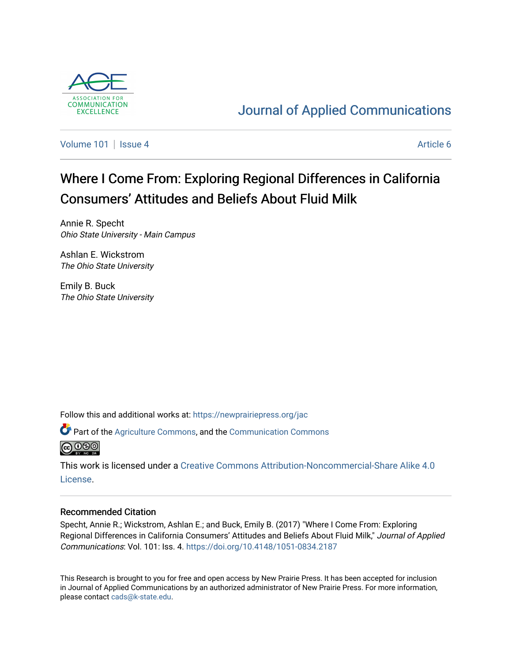

# [Journal of Applied Communications](https://newprairiepress.org/jac)

[Volume 101](https://newprairiepress.org/jac/vol101) | [Issue 4](https://newprairiepress.org/jac/vol101/iss4) Article 6

# Where I Come From: Exploring Regional Differences in California Consumers' Attitudes and Beliefs About Fluid Milk

Annie R. Specht Ohio State University - Main Campus

Ashlan E. Wickstrom The Ohio State University

Emily B. Buck The Ohio State University

Follow this and additional works at: [https://newprairiepress.org/jac](https://newprairiepress.org/jac?utm_source=newprairiepress.org%2Fjac%2Fvol101%2Fiss4%2F6&utm_medium=PDF&utm_campaign=PDFCoverPages)

Part of the [Agriculture Commons](http://network.bepress.com/hgg/discipline/1076?utm_source=newprairiepress.org%2Fjac%2Fvol101%2Fiss4%2F6&utm_medium=PDF&utm_campaign=PDFCoverPages), and the [Communication Commons](http://network.bepress.com/hgg/discipline/325?utm_source=newprairiepress.org%2Fjac%2Fvol101%2Fiss4%2F6&utm_medium=PDF&utm_campaign=PDFCoverPages)  **@** 000

This work is licensed under a [Creative Commons Attribution-Noncommercial-Share Alike 4.0](https://creativecommons.org/licenses/by-nc-sa/4.0/) [License.](https://creativecommons.org/licenses/by-nc-sa/4.0/)

# Recommended Citation

Specht, Annie R.; Wickstrom, Ashlan E.; and Buck, Emily B. (2017) "Where I Come From: Exploring Regional Differences in California Consumers' Attitudes and Beliefs About Fluid Milk," Journal of Applied Communications: Vol. 101: Iss. 4. <https://doi.org/10.4148/1051-0834.2187>

This Research is brought to you for free and open access by New Prairie Press. It has been accepted for inclusion in Journal of Applied Communications by an authorized administrator of New Prairie Press. For more information, please contact [cads@k-state.edu.](mailto:cads@k-state.edu)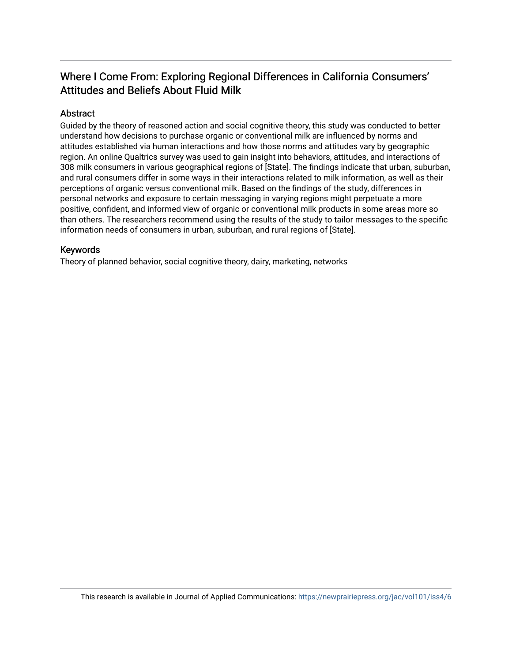# Where I Come From: Exploring Regional Differences in California Consumers' Attitudes and Beliefs About Fluid Milk

# Abstract

Guided by the theory of reasoned action and social cognitive theory, this study was conducted to better understand how decisions to purchase organic or conventional milk are influenced by norms and attitudes established via human interactions and how those norms and attitudes vary by geographic region. An online Qualtrics survey was used to gain insight into behaviors, attitudes, and interactions of 308 milk consumers in various geographical regions of [State]. The findings indicate that urban, suburban, and rural consumers differ in some ways in their interactions related to milk information, as well as their perceptions of organic versus conventional milk. Based on the findings of the study, differences in personal networks and exposure to certain messaging in varying regions might perpetuate a more positive, confident, and informed view of organic or conventional milk products in some areas more so than others. The researchers recommend using the results of the study to tailor messages to the specific information needs of consumers in urban, suburban, and rural regions of [State].

# Keywords

Theory of planned behavior, social cognitive theory, dairy, marketing, networks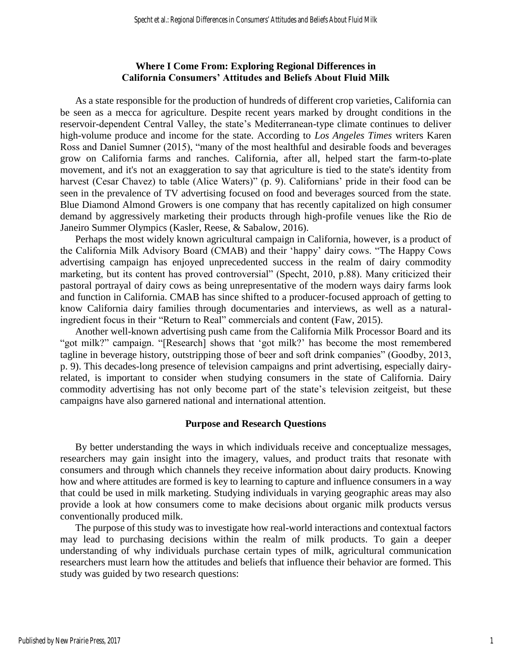### **Where I Come From: Exploring Regional Differences in California Consumers' Attitudes and Beliefs About Fluid Milk**

As a state responsible for the production of hundreds of different crop varieties, California can be seen as a mecca for agriculture. Despite recent years marked by drought conditions in the reservoir-dependent Central Valley, the state's Mediterranean-type climate continues to deliver high-volume produce and income for the state. According to *Los Angeles Times* writers Karen Ross and Daniel Sumner (2015), "many of the most healthful and desirable foods and beverages grow on California farms and ranches. California, after all, helped start the farm-to-plate movement, and it's not an exaggeration to say that agriculture is tied to the state's identity from harvest (Cesar Chavez) to table (Alice Waters)" (p. 9). Californians' pride in their food can be seen in the prevalence of TV advertising focused on food and beverages sourced from the state. Blue Diamond Almond Growers is one company that has recently capitalized on high consumer demand by aggressively marketing their products through high-profile venues like the Rio de Janeiro Summer Olympics (Kasler, Reese, & Sabalow, 2016).

Perhaps the most widely known agricultural campaign in California, however, is a product of the California Milk Advisory Board (CMAB) and their 'happy' dairy cows. "The Happy Cows advertising campaign has enjoyed unprecedented success in the realm of dairy commodity marketing, but its content has proved controversial" (Specht, 2010, p.88). Many criticized their pastoral portrayal of dairy cows as being unrepresentative of the modern ways dairy farms look and function in California. CMAB has since shifted to a producer-focused approach of getting to know California dairy families through documentaries and interviews, as well as a naturalingredient focus in their "Return to Real" commercials and content (Faw, 2015).

Another well-known advertising push came from the California Milk Processor Board and its "got milk?" campaign. "[Research] shows that 'got milk?' has become the most remembered tagline in beverage history, outstripping those of beer and soft drink companies" (Goodby, 2013, p. 9). This decades-long presence of television campaigns and print advertising, especially dairyrelated, is important to consider when studying consumers in the state of California. Dairy commodity advertising has not only become part of the state's television zeitgeist, but these campaigns have also garnered national and international attention.

### **Purpose and Research Questions**

By better understanding the ways in which individuals receive and conceptualize messages, researchers may gain insight into the imagery, values, and product traits that resonate with consumers and through which channels they receive information about dairy products. Knowing how and where attitudes are formed is key to learning to capture and influence consumers in a way that could be used in milk marketing. Studying individuals in varying geographic areas may also provide a look at how consumers come to make decisions about organic milk products versus conventionally produced milk.

The purpose of this study was to investigate how real-world interactions and contextual factors may lead to purchasing decisions within the realm of milk products. To gain a deeper understanding of why individuals purchase certain types of milk, agricultural communication researchers must learn how the attitudes and beliefs that influence their behavior are formed. This study was guided by two research questions: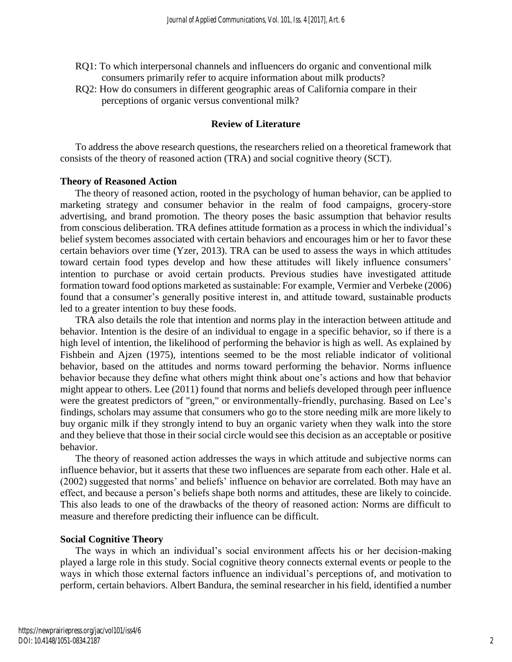- RQ1: To which interpersonal channels and influencers do organic and conventional milk consumers primarily refer to acquire information about milk products?
- RQ2: How do consumers in different geographic areas of California compare in their perceptions of organic versus conventional milk?

### **Review of Literature**

To address the above research questions, the researchers relied on a theoretical framework that consists of the theory of reasoned action (TRA) and social cognitive theory (SCT).

### **Theory of Reasoned Action**

The theory of reasoned action, rooted in the psychology of human behavior, can be applied to marketing strategy and consumer behavior in the realm of food campaigns, grocery-store advertising, and brand promotion. The theory poses the basic assumption that behavior results from conscious deliberation. TRA defines attitude formation as a process in which the individual's belief system becomes associated with certain behaviors and encourages him or her to favor these certain behaviors over time (Yzer, 2013). TRA can be used to assess the ways in which attitudes toward certain food types develop and how these attitudes will likely influence consumers' intention to purchase or avoid certain products. Previous studies have investigated attitude formation toward food options marketed as sustainable: For example, Vermier and Verbeke (2006) found that a consumer's generally positive interest in, and attitude toward, sustainable products led to a greater intention to buy these foods.

TRA also details the role that intention and norms play in the interaction between attitude and behavior. Intention is the desire of an individual to engage in a specific behavior, so if there is a high level of intention, the likelihood of performing the behavior is high as well. As explained by Fishbein and Ajzen (1975), intentions seemed to be the most reliable indicator of volitional behavior, based on the attitudes and norms toward performing the behavior. Norms influence behavior because they define what others might think about one's actions and how that behavior might appear to others. Lee (2011) found that norms and beliefs developed through peer influence were the greatest predictors of "green," or environmentally-friendly, purchasing. Based on Lee's findings, scholars may assume that consumers who go to the store needing milk are more likely to buy organic milk if they strongly intend to buy an organic variety when they walk into the store and they believe that those in their social circle would see this decision as an acceptable or positive behavior.

The theory of reasoned action addresses the ways in which attitude and subjective norms can influence behavior, but it asserts that these two influences are separate from each other. Hale et al. (2002) suggested that norms' and beliefs' influence on behavior are correlated. Both may have an effect, and because a person's beliefs shape both norms and attitudes, these are likely to coincide. This also leads to one of the drawbacks of the theory of reasoned action: Norms are difficult to measure and therefore predicting their influence can be difficult.

### **Social Cognitive Theory**

The ways in which an individual's social environment affects his or her decision-making played a large role in this study. Social cognitive theory connects external events or people to the ways in which those external factors influence an individual's perceptions of, and motivation to perform, certain behaviors. Albert Bandura, the seminal researcher in his field, identified a number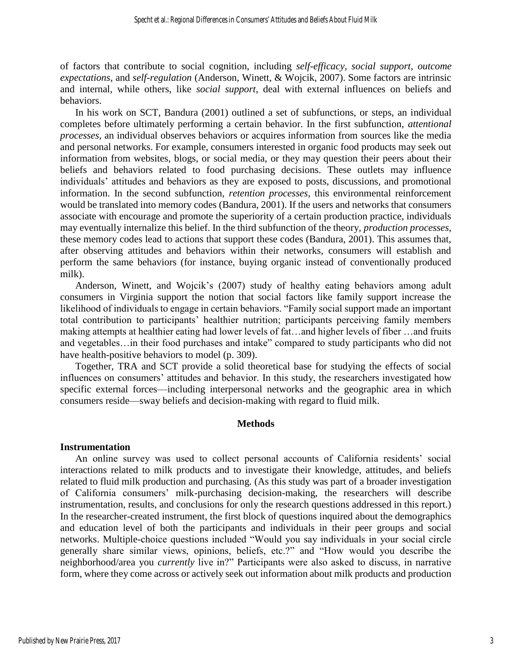of factors that contribute to social cognition, including *self-efficacy*, *social support*, *outcome expectations*, and *self-regulation* (Anderson, Winett, & Wojcik, 2007). Some factors are intrinsic and internal, while others, like *social support*, deal with external influences on beliefs and behaviors.

In his work on SCT, Bandura (2001) outlined a set of subfunctions, or steps, an individual completes before ultimately performing a certain behavior. In the first subfunction, *attentional processes*, an individual observes behaviors or acquires information from sources like the media and personal networks. For example, consumers interested in organic food products may seek out information from websites, blogs, or social media, or they may question their peers about their beliefs and behaviors related to food purchasing decisions. These outlets may influence individuals' attitudes and behaviors as they are exposed to posts, discussions, and promotional information. In the second subfunction, *retention processes*, this environmental reinforcement would be translated into memory codes (Bandura, 2001). If the users and networks that consumers associate with encourage and promote the superiority of a certain production practice, individuals may eventually internalize this belief. In the third subfunction of the theory, *production processes*, these memory codes lead to actions that support these codes (Bandura, 2001). This assumes that, after observing attitudes and behaviors within their networks, consumers will establish and perform the same behaviors (for instance, buying organic instead of conventionally produced milk).

Anderson, Winett, and Wojcik's (2007) study of healthy eating behaviors among adult consumers in Virginia support the notion that social factors like family support increase the likelihood of individuals to engage in certain behaviors. "Family social support made an important total contribution to participants' healthier nutrition; participants perceiving family members making attempts at healthier eating had lower levels of fat…and higher levels of fiber …and fruits and vegetables... in their food purchases and intake" compared to study participants who did not have health-positive behaviors to model (p. 309).

Together, TRA and SCT provide a solid theoretical base for studying the effects of social influences on consumers' attitudes and behavior. In this study, the researchers investigated how specific external forces—including interpersonal networks and the geographic area in which consumers reside—sway beliefs and decision-making with regard to fluid milk.

### **Methods**

### **Instrumentation**

An online survey was used to collect personal accounts of California residents' social interactions related to milk products and to investigate their knowledge, attitudes, and beliefs related to fluid milk production and purchasing. (As this study was part of a broader investigation of California consumers' milk-purchasing decision-making, the researchers will describe instrumentation, results, and conclusions for only the research questions addressed in this report.) In the researcher-created instrument, the first block of questions inquired about the demographics and education level of both the participants and individuals in their peer groups and social networks. Multiple-choice questions included "Would you say individuals in your social circle generally share similar views, opinions, beliefs, etc.?" and "How would you describe the neighborhood/area you *currently* live in?" Participants were also asked to discuss, in narrative form, where they come across or actively seek out information about milk products and production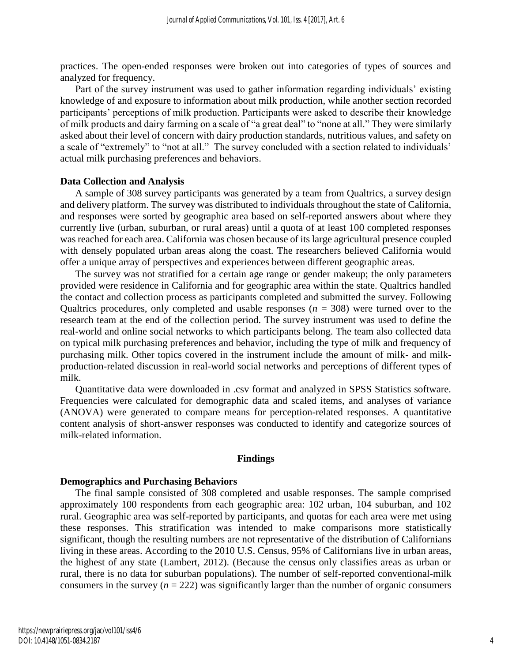practices. The open-ended responses were broken out into categories of types of sources and analyzed for frequency.

Part of the survey instrument was used to gather information regarding individuals' existing knowledge of and exposure to information about milk production, while another section recorded participants' perceptions of milk production. Participants were asked to describe their knowledge of milk products and dairy farming on a scale of "a great deal" to "none at all." They were similarly asked about their level of concern with dairy production standards, nutritious values, and safety on a scale of "extremely" to "not at all." The survey concluded with a section related to individuals' actual milk purchasing preferences and behaviors.

### **Data Collection and Analysis**

A sample of 308 survey participants was generated by a team from Qualtrics, a survey design and delivery platform. The survey was distributed to individuals throughout the state of California, and responses were sorted by geographic area based on self-reported answers about where they currently live (urban, suburban, or rural areas) until a quota of at least 100 completed responses was reached for each area. California was chosen because of its large agricultural presence coupled with densely populated urban areas along the coast. The researchers believed California would offer a unique array of perspectives and experiences between different geographic areas.

The survey was not stratified for a certain age range or gender makeup; the only parameters provided were residence in California and for geographic area within the state. Qualtrics handled the contact and collection process as participants completed and submitted the survey. Following Qualtrics procedures, only completed and usable responses  $(n = 308)$  were turned over to the research team at the end of the collection period. The survey instrument was used to define the real-world and online social networks to which participants belong. The team also collected data on typical milk purchasing preferences and behavior, including the type of milk and frequency of purchasing milk. Other topics covered in the instrument include the amount of milk- and milkproduction-related discussion in real-world social networks and perceptions of different types of milk.

Quantitative data were downloaded in .csv format and analyzed in SPSS Statistics software. Frequencies were calculated for demographic data and scaled items, and analyses of variance (ANOVA) were generated to compare means for perception-related responses. A quantitative content analysis of short-answer responses was conducted to identify and categorize sources of milk-related information.

#### **Findings**

#### **Demographics and Purchasing Behaviors**

The final sample consisted of 308 completed and usable responses. The sample comprised approximately 100 respondents from each geographic area: 102 urban, 104 suburban, and 102 rural. Geographic area was self-reported by participants, and quotas for each area were met using these responses. This stratification was intended to make comparisons more statistically significant, though the resulting numbers are not representative of the distribution of Californians living in these areas. According to the 2010 U.S. Census, 95% of Californians live in urban areas, the highest of any state (Lambert, 2012). (Because the census only classifies areas as urban or rural, there is no data for suburban populations). The number of self-reported conventional-milk consumers in the survey  $(n = 222)$  was significantly larger than the number of organic consumers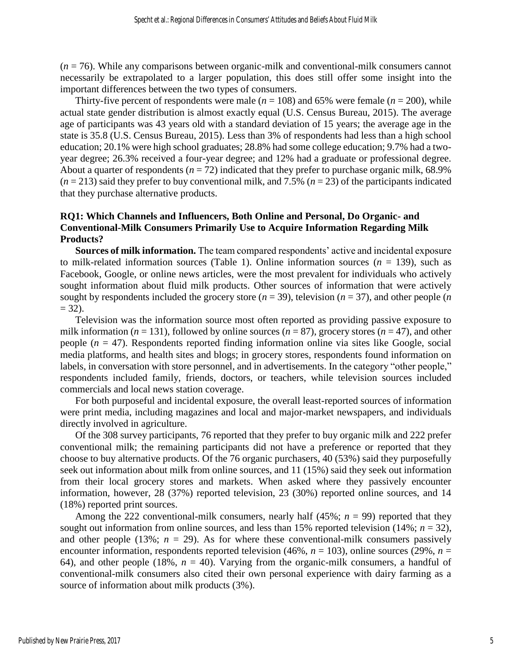(*n* = 76). While any comparisons between organic-milk and conventional-milk consumers cannot necessarily be extrapolated to a larger population, this does still offer some insight into the important differences between the two types of consumers.

Thirty-five percent of respondents were male  $(n = 108)$  and 65% were female  $(n = 200)$ , while actual state gender distribution is almost exactly equal (U.S. Census Bureau, 2015). The average age of participants was 43 years old with a standard deviation of 15 years; the average age in the state is 35.8 (U.S. Census Bureau, 2015). Less than 3% of respondents had less than a high school education; 20.1% were high school graduates; 28.8% had some college education; 9.7% had a twoyear degree; 26.3% received a four-year degree; and 12% had a graduate or professional degree. About a quarter of respondents ( $n = 72$ ) indicated that they prefer to purchase organic milk, 68.9%  $(n = 213)$  said they prefer to buy conventional milk, and 7.5%  $(n = 23)$  of the participants indicated that they purchase alternative products.

# **RQ1: Which Channels and Influencers, Both Online and Personal, Do Organic- and Conventional-Milk Consumers Primarily Use to Acquire Information Regarding Milk Products?**

**Sources of milk information.** The team compared respondents' active and incidental exposure to milk-related information sources (Table 1). Online information sources  $(n = 139)$ , such as Facebook, Google, or online news articles, were the most prevalent for individuals who actively sought information about fluid milk products. Other sources of information that were actively sought by respondents included the grocery store  $(n = 39)$ , television  $(n = 37)$ , and other people  $(n \leq 37)$  $= 32$ ).

Television was the information source most often reported as providing passive exposure to milk information ( $n = 131$ ), followed by online sources ( $n = 87$ ), grocery stores ( $n = 47$ ), and other people  $(n = 47)$ . Respondents reported finding information online via sites like Google, social media platforms, and health sites and blogs; in grocery stores, respondents found information on labels, in conversation with store personnel, and in advertisements. In the category "other people," respondents included family, friends, doctors, or teachers, while television sources included commercials and local news station coverage.

For both purposeful and incidental exposure, the overall least-reported sources of information were print media, including magazines and local and major-market newspapers, and individuals directly involved in agriculture.

Of the 308 survey participants, 76 reported that they prefer to buy organic milk and 222 prefer conventional milk; the remaining participants did not have a preference or reported that they choose to buy alternative products. Of the 76 organic purchasers, 40 (53%) said they purposefully seek out information about milk from online sources, and 11 (15%) said they seek out information from their local grocery stores and markets. When asked where they passively encounter information, however, 28 (37%) reported television, 23 (30%) reported online sources, and 14 (18%) reported print sources.

Among the 222 conventional-milk consumers, nearly half (45%; *n* = 99) reported that they sought out information from online sources, and less than 15% reported television  $(14\%; n = 32)$ , and other people (13%;  $n = 29$ ). As for where these conventional-milk consumers passively encounter information, respondents reported television (46%, *n* = 103), online sources (29%, *n* = 64), and other people (18%,  $n = 40$ ). Varying from the organic-milk consumers, a handful of conventional-milk consumers also cited their own personal experience with dairy farming as a source of information about milk products (3%).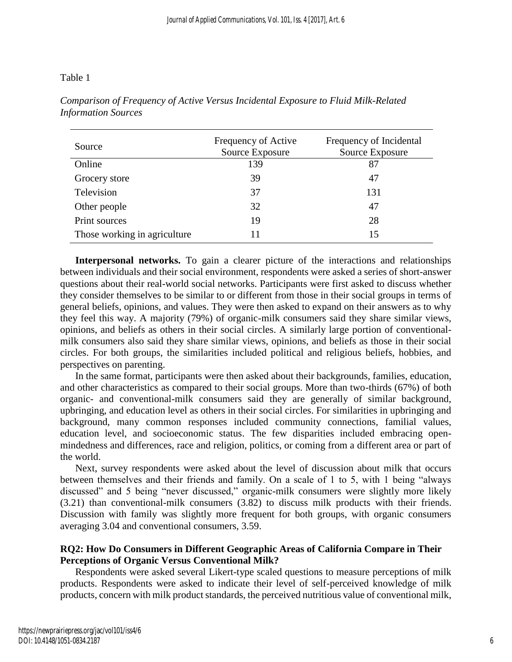### Table 1

| Source                       | Frequency of Active<br>Source Exposure | Frequency of Incidental<br>Source Exposure |  |
|------------------------------|----------------------------------------|--------------------------------------------|--|
| Online                       | 139                                    | 87                                         |  |
| Grocery store                | 39                                     | 47                                         |  |
| Television                   | 37                                     | 131                                        |  |
| Other people                 | 32                                     | 47                                         |  |
| Print sources                | 19                                     | 28                                         |  |
| Those working in agriculture |                                        | 15                                         |  |

*Comparison of Frequency of Active Versus Incidental Exposure to Fluid Milk-Related Information Sources*

**Interpersonal networks.** To gain a clearer picture of the interactions and relationships between individuals and their social environment, respondents were asked a series of short-answer questions about their real-world social networks. Participants were first asked to discuss whether they consider themselves to be similar to or different from those in their social groups in terms of general beliefs, opinions, and values. They were then asked to expand on their answers as to why they feel this way. A majority (79%) of organic-milk consumers said they share similar views, opinions, and beliefs as others in their social circles. A similarly large portion of conventionalmilk consumers also said they share similar views, opinions, and beliefs as those in their social circles. For both groups, the similarities included political and religious beliefs, hobbies, and perspectives on parenting.

In the same format, participants were then asked about their backgrounds, families, education, and other characteristics as compared to their social groups. More than two-thirds (67%) of both organic- and conventional-milk consumers said they are generally of similar background, upbringing, and education level as others in their social circles. For similarities in upbringing and background, many common responses included community connections, familial values, education level, and socioeconomic status. The few disparities included embracing openmindedness and differences, race and religion, politics, or coming from a different area or part of the world.

Next, survey respondents were asked about the level of discussion about milk that occurs between themselves and their friends and family. On a scale of 1 to 5, with 1 being "always discussed" and 5 being "never discussed," organic-milk consumers were slightly more likely (3.21) than conventional-milk consumers (3.82) to discuss milk products with their friends. Discussion with family was slightly more frequent for both groups, with organic consumers averaging 3.04 and conventional consumers, 3.59.

# **RQ2: How Do Consumers in Different Geographic Areas of California Compare in Their Perceptions of Organic Versus Conventional Milk?**

Respondents were asked several Likert-type scaled questions to measure perceptions of milk products. Respondents were asked to indicate their level of self-perceived knowledge of milk products, concern with milk product standards, the perceived nutritious value of conventional milk,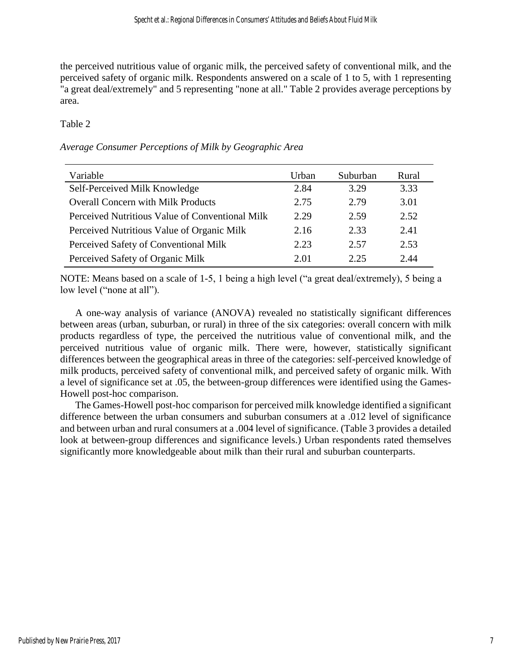the perceived nutritious value of organic milk, the perceived safety of conventional milk, and the perceived safety of organic milk. Respondents answered on a scale of 1 to 5, with 1 representing "a great deal/extremely" and 5 representing "none at all." Table 2 provides average perceptions by area.

# Table 2

# *Average Consumer Perceptions of Milk by Geographic Area*

| Variable                                        | Urban | Suburban | Rural |
|-------------------------------------------------|-------|----------|-------|
| Self-Perceived Milk Knowledge                   | 2.84  | 3.29     | 3.33  |
| <b>Overall Concern with Milk Products</b>       | 2.75  | 2.79     | 3.01  |
| Perceived Nutritious Value of Conventional Milk | 2.29  | 2.59     | 2.52  |
| Perceived Nutritious Value of Organic Milk      | 2.16  | 2.33     | 2.41  |
| Perceived Safety of Conventional Milk           | 2.23  | 2.57     | 2.53  |
| Perceived Safety of Organic Milk                | 2.01  | 2.25     | 2.44  |

NOTE: Means based on a scale of 1-5, 1 being a high level ("a great deal/extremely), 5 being a low level ("none at all").

A one-way analysis of variance (ANOVA) revealed no statistically significant differences between areas (urban, suburban, or rural) in three of the six categories: overall concern with milk products regardless of type, the perceived the nutritious value of conventional milk, and the perceived nutritious value of organic milk. There were, however, statistically significant differences between the geographical areas in three of the categories: self-perceived knowledge of milk products, perceived safety of conventional milk, and perceived safety of organic milk. With a level of significance set at .05, the between-group differences were identified using the Games-Howell post-hoc comparison.

The Games-Howell post-hoc comparison for perceived milk knowledge identified a significant difference between the urban consumers and suburban consumers at a .012 level of significance and between urban and rural consumers at a .004 level of significance. (Table 3 provides a detailed look at between-group differences and significance levels.) Urban respondents rated themselves significantly more knowledgeable about milk than their rural and suburban counterparts.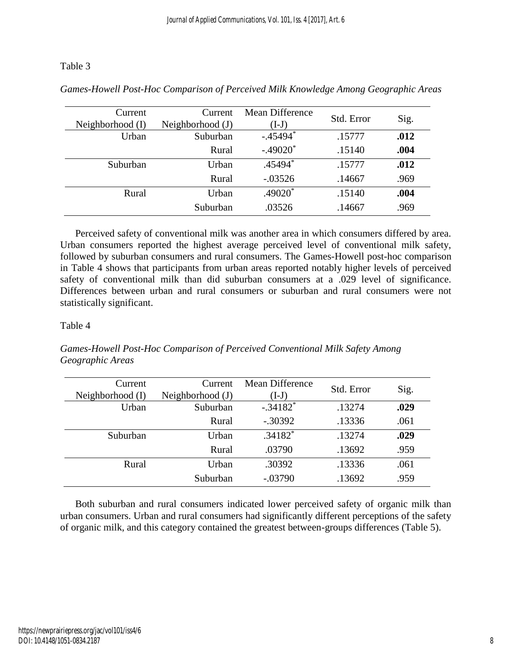# Table 3

| Current          | Current          | Mean Difference | Std. Error |      |
|------------------|------------------|-----------------|------------|------|
| Neighborhood (I) | Neighborhood (J) | $(I-J)$         |            | Sig. |
| Urban            | Suburban         | $-.45494*$      | .15777     | .012 |
|                  | Rural            | $-.49020*$      | .15140     | .004 |
| Suburban         | Urban            | .45494*         | .15777     | .012 |
|                  | Rural            | $-.03526$       | .14667     | .969 |
| Rural            | Urban            | $.49020*$       | .15140     | .004 |
|                  | Suburban         | .03526          | .14667     | .969 |

*Games-Howell Post-Hoc Comparison of Perceived Milk Knowledge Among Geographic Areas*

Perceived safety of conventional milk was another area in which consumers differed by area. Urban consumers reported the highest average perceived level of conventional milk safety, followed by suburban consumers and rural consumers. The Games-Howell post-hoc comparison in Table 4 shows that participants from urban areas reported notably higher levels of perceived safety of conventional milk than did suburban consumers at a .029 level of significance. Differences between urban and rural consumers or suburban and rural consumers were not statistically significant.

# Table 4

| Games-Howell Post-Hoc Comparison of Perceived Conventional Milk Safety Among |  |
|------------------------------------------------------------------------------|--|
| Geographic Areas                                                             |  |

| Current<br>Neighborhood (I) | Current<br>Neighborhood (J) | Mean Difference<br>$(I-J)$ | Std. Error | Sig. |
|-----------------------------|-----------------------------|----------------------------|------------|------|
| Urban                       | Suburban                    | $-.34182$ <sup>*</sup>     | .13274     | .029 |
|                             | Rural                       | $-.30392$                  | .13336     | .061 |
| Suburban                    | Urban                       | $.34182*$                  | .13274     | .029 |
|                             | Rural                       | .03790                     | .13692     | .959 |
| Rural                       | Urban                       | .30392                     | .13336     | .061 |
|                             | Suburban                    | $-.03790$                  | .13692     | .959 |

Both suburban and rural consumers indicated lower perceived safety of organic milk than urban consumers. Urban and rural consumers had significantly different perceptions of the safety of organic milk, and this category contained the greatest between-groups differences (Table 5).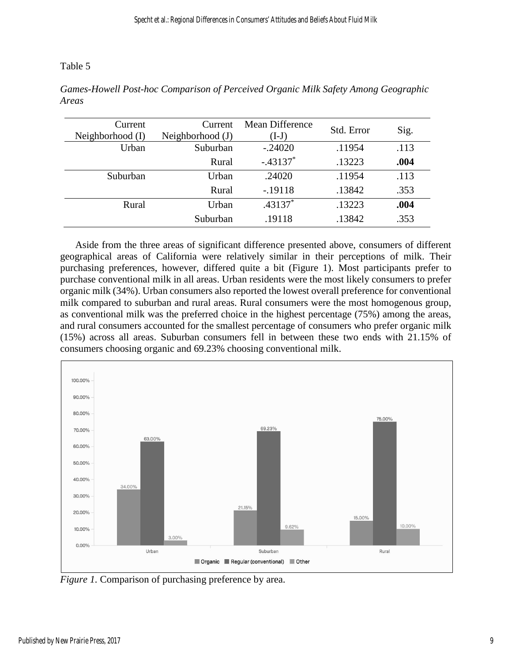Table 5

| Current          | Current            | <b>Mean Difference</b> | Std. Error |      |
|------------------|--------------------|------------------------|------------|------|
| Neighborhood (I) | Neighborhood $(J)$ | $(I-J)$                |            | Sig. |
| Urban            | Suburban           | $-.24020$              | .11954     | .113 |
|                  | Rural              | $-.43137*$             | .13223     | .004 |
| Suburban         | Urban              | .24020                 | .11954     | .113 |
|                  | Rural              | $-.19118$              | .13842     | .353 |
| Rural            | Urban              | $.43137*$              | .13223     | .004 |
|                  | Suburban           | .19118                 | .13842     | .353 |

*Games-Howell Post-hoc Comparison of Perceived Organic Milk Safety Among Geographic Areas*

Aside from the three areas of significant difference presented above, consumers of different geographical areas of California were relatively similar in their perceptions of milk. Their purchasing preferences, however, differed quite a bit (Figure 1). Most participants prefer to purchase conventional milk in all areas. Urban residents were the most likely consumers to prefer organic milk (34%). Urban consumers also reported the lowest overall preference for conventional milk compared to suburban and rural areas. Rural consumers were the most homogenous group, as conventional milk was the preferred choice in the highest percentage (75%) among the areas, and rural consumers accounted for the smallest percentage of consumers who prefer organic milk (15%) across all areas. Suburban consumers fell in between these two ends with 21.15% of consumers choosing organic and 69.23% choosing conventional milk.



*Figure 1.* Comparison of purchasing preference by area.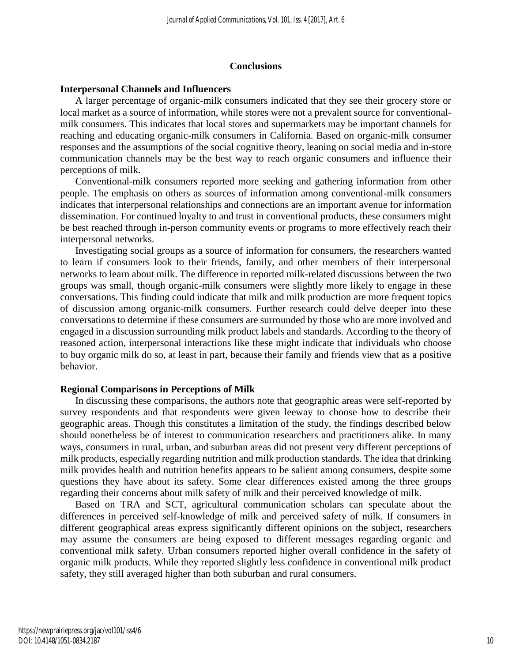### **Conclusions**

### **Interpersonal Channels and Influencers**

A larger percentage of organic-milk consumers indicated that they see their grocery store or local market as a source of information, while stores were not a prevalent source for conventionalmilk consumers. This indicates that local stores and supermarkets may be important channels for reaching and educating organic-milk consumers in California. Based on organic-milk consumer responses and the assumptions of the social cognitive theory, leaning on social media and in-store communication channels may be the best way to reach organic consumers and influence their perceptions of milk.

Conventional-milk consumers reported more seeking and gathering information from other people. The emphasis on others as sources of information among conventional-milk consumers indicates that interpersonal relationships and connections are an important avenue for information dissemination. For continued loyalty to and trust in conventional products, these consumers might be best reached through in-person community events or programs to more effectively reach their interpersonal networks.

Investigating social groups as a source of information for consumers, the researchers wanted to learn if consumers look to their friends, family, and other members of their interpersonal networks to learn about milk. The difference in reported milk-related discussions between the two groups was small, though organic-milk consumers were slightly more likely to engage in these conversations. This finding could indicate that milk and milk production are more frequent topics of discussion among organic-milk consumers. Further research could delve deeper into these conversations to determine if these consumers are surrounded by those who are more involved and engaged in a discussion surrounding milk product labels and standards. According to the theory of reasoned action, interpersonal interactions like these might indicate that individuals who choose to buy organic milk do so, at least in part, because their family and friends view that as a positive behavior.

### **Regional Comparisons in Perceptions of Milk**

In discussing these comparisons, the authors note that geographic areas were self-reported by survey respondents and that respondents were given leeway to choose how to describe their geographic areas. Though this constitutes a limitation of the study, the findings described below should nonetheless be of interest to communication researchers and practitioners alike. In many ways, consumers in rural, urban, and suburban areas did not present very different perceptions of milk products, especially regarding nutrition and milk production standards. The idea that drinking milk provides health and nutrition benefits appears to be salient among consumers, despite some questions they have about its safety. Some clear differences existed among the three groups regarding their concerns about milk safety of milk and their perceived knowledge of milk.

Based on TRA and SCT, agricultural communication scholars can speculate about the differences in perceived self-knowledge of milk and perceived safety of milk. If consumers in different geographical areas express significantly different opinions on the subject, researchers may assume the consumers are being exposed to different messages regarding organic and conventional milk safety. Urban consumers reported higher overall confidence in the safety of organic milk products. While they reported slightly less confidence in conventional milk product safety, they still averaged higher than both suburban and rural consumers.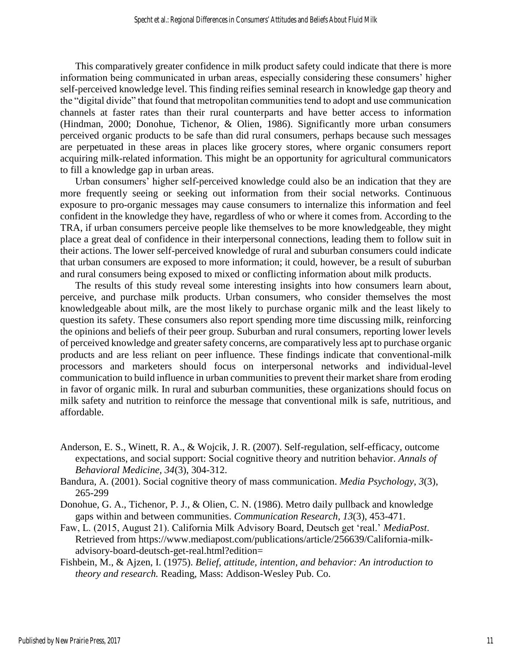This comparatively greater confidence in milk product safety could indicate that there is more information being communicated in urban areas, especially considering these consumers' higher self-perceived knowledge level. This finding reifies seminal research in knowledge gap theory and the "digital divide" that found that metropolitan communities tend to adopt and use communication channels at faster rates than their rural counterparts and have better access to information (Hindman, 2000; Donohue, Tichenor, & Olien, 1986). Significantly more urban consumers perceived organic products to be safe than did rural consumers, perhaps because such messages are perpetuated in these areas in places like grocery stores, where organic consumers report acquiring milk-related information. This might be an opportunity for agricultural communicators to fill a knowledge gap in urban areas.

Urban consumers' higher self-perceived knowledge could also be an indication that they are more frequently seeing or seeking out information from their social networks. Continuous exposure to pro-organic messages may cause consumers to internalize this information and feel confident in the knowledge they have, regardless of who or where it comes from. According to the TRA, if urban consumers perceive people like themselves to be more knowledgeable, they might place a great deal of confidence in their interpersonal connections, leading them to follow suit in their actions. The lower self-perceived knowledge of rural and suburban consumers could indicate that urban consumers are exposed to more information; it could, however, be a result of suburban and rural consumers being exposed to mixed or conflicting information about milk products.

The results of this study reveal some interesting insights into how consumers learn about, perceive, and purchase milk products. Urban consumers, who consider themselves the most knowledgeable about milk, are the most likely to purchase organic milk and the least likely to question its safety. These consumers also report spending more time discussing milk, reinforcing the opinions and beliefs of their peer group. Suburban and rural consumers, reporting lower levels of perceived knowledge and greater safety concerns, are comparatively less apt to purchase organic products and are less reliant on peer influence. These findings indicate that conventional-milk processors and marketers should focus on interpersonal networks and individual-level communication to build influence in urban communities to prevent their market share from eroding in favor of organic milk. In rural and suburban communities, these organizations should focus on milk safety and nutrition to reinforce the message that conventional milk is safe, nutritious, and affordable.

- Anderson, E. S., Winett, R. A., & Wojcik, J. R. (2007). Self-regulation, self-efficacy, outcome expectations, and social support: Social cognitive theory and nutrition behavior. *Annals of Behavioral Medicine, 34*(3), 304-312.
- Bandura, A. (2001). Social cognitive theory of mass communication. *Media Psychology*, *3*(3), 265-299
- Donohue, G. A., Tichenor, P. J., & Olien, C. N. (1986). Metro daily pullback and knowledge gaps within and between communities. *Communication Research, 13*(3), 453-471.
- Faw, L. (2015, August 21). California Milk Advisory Board, Deutsch get 'real.' *MediaPost*. Retrieved from https://www.mediapost.com/publications/article/256639/California-milkadvisory-board-deutsch-get-real.html?edition=
- Fishbein, M., & Ajzen, I. (1975). *Belief, attitude, intention, and behavior: An introduction to theory and research.* Reading, Mass: Addison-Wesley Pub. Co.